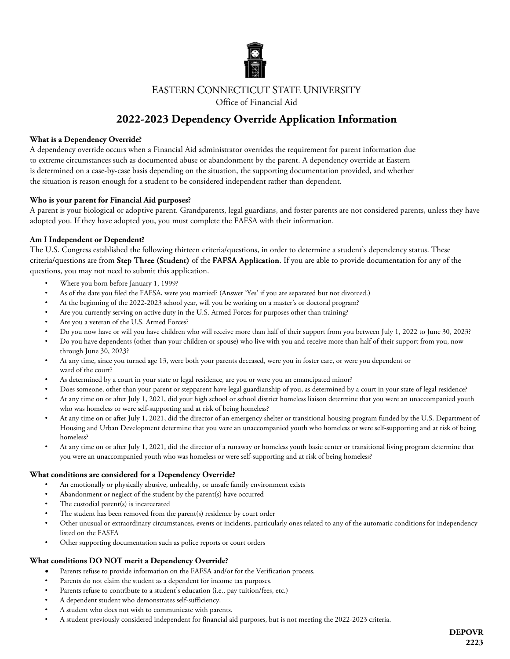

### **EASTERN CONNECTICUT STATE UNIVERSITY**

Office of Financial Aid

## **2022-2023 Dependency Override Application Information**

#### **What is a Dependency Override?**

A dependency override occurs when a Financial Aid administrator overrides the requirement for parent information due to extreme circumstances such as documented abuse or abandonment by the parent. A dependency override at Eastern is determined on a case-by-case basis depending on the situation, the supporting documentation provided, and whether the situation is reason enough for a student to be considered independent rather than dependent.

#### **Who is your parent for Financial Aid purposes?**

A parent is your biological or adoptive parent. Grandparents, legal guardians, and foster parents are not considered parents, unless they have adopted you. If they have adopted you, you must complete the FAFSA with their information.

#### **Am I Independent or Dependent?**

The U.S. Congress established the following thirteen criteria/questions, in order to determine a student's dependency status. These criteria/questions are from Step Three (Student) of the FAFSA Application. If you are able to provide documentation for any of the questions, you may not need to submit this application.

- Where you born before January 1, 1999?
- As of the date you filed the FAFSA, were you married? (Answer 'Yes' if you are separated but not divorced.)
- At the beginning of the 2022-2023 school year, will you be working on a master's or doctoral program?
- Are you currently serving on active duty in the U.S. Armed Forces for purposes other than training?
- Are you a veteran of the U.S. Armed Forces?
- Do you now have or will you have children who will receive more than half of their support from you between July 1, 2022 to June 30, 2023?
- Do you have dependents (other than your children or spouse) who live with you and receive more than half of their support from you, now through June 30, 2023?
- At any time, since you turned age 13, were both your parents deceased, were you in foster care, or were you dependent or ward of the court?
- As determined by a court in your state or legal residence, are you or were you an emancipated minor?
- Does someone, other than your parent or stepparent have legal guardianship of you, as determined by a court in your state of legal residence?
- At any time on or after July 1, 2021, did your high school or school district homeless liaison determine that you were an unaccompanied youth who was homeless or were self-supporting and at risk of being homeless?
- At any time on or after July 1, 2021, did the director of an emergency shelter or transitional housing program funded by the U.S. Department of Housing and Urban Development determine that you were an unaccompanied youth who homeless or were self-supporting and at risk of being homeless?
- At any time on or after July 1, 2021, did the director of a runaway or homeless youth basic center or transitional living program determine that you were an unaccompanied youth who was homeless or were self-supporting and at risk of being homeless?

#### **What conditions are considered for a Dependency Override?**

- An emotionally or physically abusive, unhealthy, or unsafe family environment exists
- Abandonment or neglect of the student by the parent(s) have occurred
- The custodial parent(s) is incarcerated
- The student has been removed from the parent(s) residence by court order
- Other unusual or extraordinary circumstances, events or incidents, particularly ones related to any of the automatic conditions for independency listed on the FASFA
- Other supporting documentation such as police reports or court orders

#### **What conditions DO NOT merit a Dependency Override?**

- Parents refuse to provide information on the FAFSA and/or for the Verification process.
- Parents do not claim the student as a dependent for income tax purposes.
- Parents refuse to contribute to a student's education (i.e., pay tuition/fees, etc.)
- A dependent student who demonstrates self-sufficiency.
- A student who does not wish to communicate with parents.
- A student previously considered independent for financial aid purposes, but is not meeting the 2022-2023 criteria.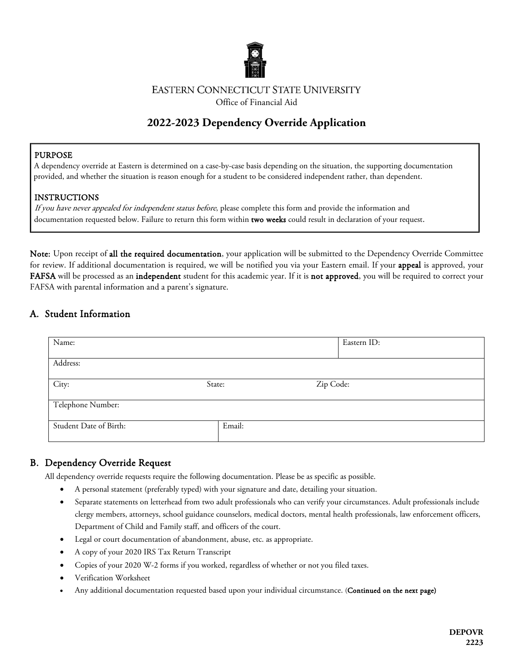

## **EASTERN CONNECTICUT STATE UNIVERSITY**

Office of Financial Aid

# **2022-2023 Dependency Override Application**

İ

### PURPOSE

I

 A dependency override at Eastern is determined on a case-by-case basis depending on the situation, the supporting documentation provided, and whether the situation is reason enough for a student to be considered independent rather, than dependent.

## INSTRUCTIONS

If you have never appealed for independent status before, please complete this form and provide the information and documentation requested below. Failure to return this form within two weeks could result in declaration of your request.

Note: Upon receipt of all the required documentation, your application will be submitted to the Dependency Override Committee for review. If additional documentation is required, we will be notified you via your Eastern email. If your appeal is approved, your FAFSA will be processed as an independent student for this academic year. If it is not approved, you will be required to correct your FAFSA with parental information and a parent's signature.

## A. Student Information

| Name:                  |        | Eastern ID: |  |  |  |  |
|------------------------|--------|-------------|--|--|--|--|
| Address:               |        |             |  |  |  |  |
| City:<br>State:        |        | Zip Code:   |  |  |  |  |
| Telephone Number:      |        |             |  |  |  |  |
| Student Date of Birth: | Email: |             |  |  |  |  |

## B. Dependency Override Request

All dependency override requests require the following documentation. Please be as specific as possible.

- A personal statement (preferably typed) with your signature and date, detailing your situation.
- Separate statements on letterhead from two adult professionals who can verify your circumstances. Adult professionals include clergy members, attorneys, school guidance counselors, medical doctors, mental health professionals, law enforcement officers, Department of Child and Family staff, and officers of the court.
- Legal or court documentation of abandonment, abuse, etc. as appropriate.
- A copy of your 2020 IRS Tax Return Transcript
- Copies of your 2020 W-2 forms if you worked, regardless of whether or not you filed taxes.
- Verification Worksheet
- Any additional documentation requested based upon your individual circumstance. (Continued on the next page)